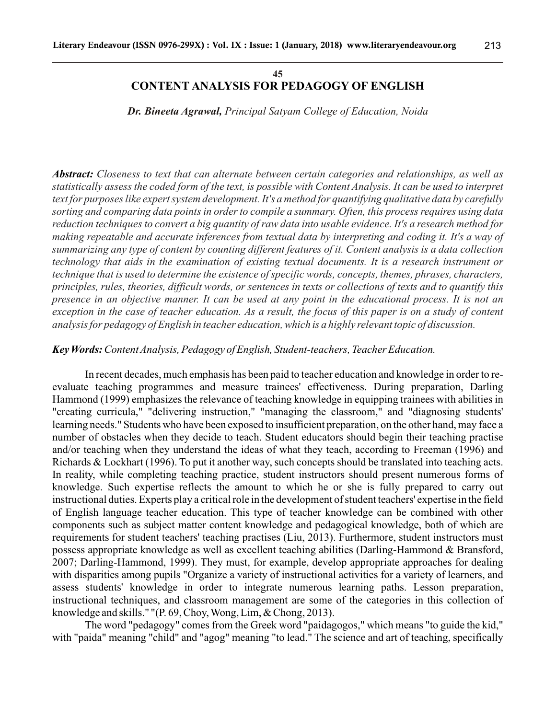#### **45 CONTENT ANALYSIS FOR PEDAGOGY OF ENGLISH**

*Dr. Bineeta Agrawal, Principal Satyam College of Education, Noida*

*Abstract: Closeness to text that can alternate between certain categories and relationships, as well as statistically assess the coded form of the text, is possible with Content Analysis. It can be used to interpret text for purposes like expert system development. It's a method for quantifying qualitative data by carefully sorting and comparing data points in order to compile a summary. Often, this process requires using data reduction techniques to convert a big quantity of raw data into usable evidence. It's a research method for making repeatable and accurate inferences from textual data by interpreting and coding it. It's a way of summarizing any type of content by counting different features of it. Content analysis is a data collection technology that aids in the examination of existing textual documents. It is a research instrument or technique that is used to determine the existence of specific words, concepts, themes, phrases, characters, principles, rules, theories, difficult words, or sentences in texts or collections of texts and to quantify this presence in an objective manner. It can be used at any point in the educational process. It is not an exception in the case of teacher education. As a result, the focus of this paper is on a study of content analysis for pedagogy of English in teacher education, which is a highly relevant topic of discussion.*

#### *Key Words: Content Analysis, Pedagogy of English, Student-teachers, Teacher Education.*

In recent decades, much emphasis has been paid to teacher education and knowledge in order to reevaluate teaching programmes and measure trainees' effectiveness. During preparation, Darling Hammond (1999) emphasizes the relevance of teaching knowledge in equipping trainees with abilities in "creating curricula," "delivering instruction," "managing the classroom," and "diagnosing students' learning needs." Students who have been exposed to insufficient preparation, on the other hand, may face a number of obstacles when they decide to teach. Student educators should begin their teaching practise and/or teaching when they understand the ideas of what they teach, according to Freeman (1996) and Richards & Lockhart (1996). To put it another way, such concepts should be translated into teaching acts. In reality, while completing teaching practice, student instructors should present numerous forms of knowledge. Such expertise reflects the amount to which he or she is fully prepared to carry out instructional duties. Experts play a critical role in the development of student teachers' expertise in the field of English language teacher education. This type of teacher knowledge can be combined with other components such as subject matter content knowledge and pedagogical knowledge, both of which are requirements for student teachers' teaching practises (Liu, 2013). Furthermore, student instructors must possess appropriate knowledge as well as excellent teaching abilities (Darling-Hammond & Bransford, 2007; Darling-Hammond, 1999). They must, for example, develop appropriate approaches for dealing with disparities among pupils "Organize a variety of instructional activities for a variety of learners, and assess students' knowledge in order to integrate numerous learning paths. Lesson preparation, instructional techniques, and classroom management are some of the categories in this collection of knowledge and skills." "(P. 69, Choy, Wong, Lim, & Chong, 2013).

The word "pedagogy" comes from the Greek word "paidagogos," which means "to guide the kid," with "paida" meaning "child" and "agog" meaning "to lead." The science and art of teaching, specifically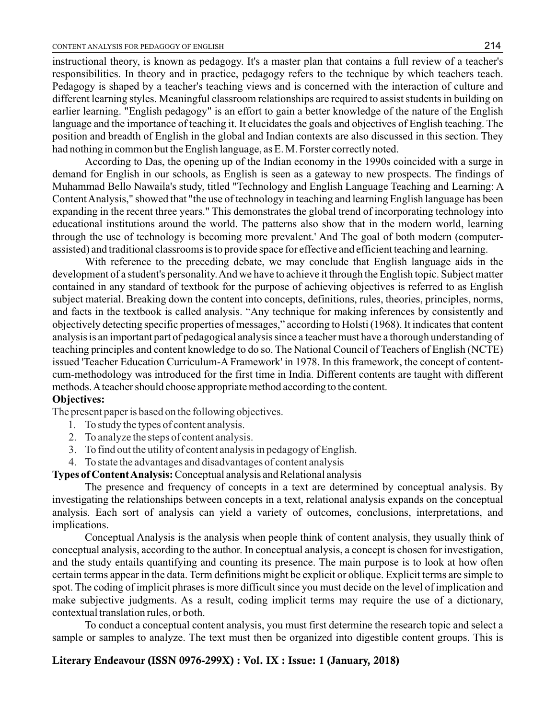instructional theory, is known as pedagogy. It's a master plan that contains a full review of a teacher's responsibilities. In theory and in practice, pedagogy refers to the technique by which teachers teach. Pedagogy is shaped by a teacher's teaching views and is concerned with the interaction of culture and different learning styles. Meaningful classroom relationships are required to assist students in building on earlier learning. "English pedagogy" is an effort to gain a better knowledge of the nature of the English language and the importance of teaching it. It elucidates the goals and objectives of English teaching. The position and breadth of English in the global and Indian contexts are also discussed in this section. They had nothing in common but the English language, as E. M. Forster correctly noted.

According to Das, the opening up of the Indian economy in the 1990s coincided with a surge in demand for English in our schools, as English is seen as a gateway to new prospects. The findings of Muhammad Bello Nawaila's study, titled "Technology and English Language Teaching and Learning: A Content Analysis," showed that "the use of technology in teaching and learning English language has been expanding in the recent three years." This demonstrates the global trend of incorporating technology into educational institutions around the world. The patterns also show that in the modern world, learning through the use of technology is becoming more prevalent.' And The goal of both modern (computerassisted) and traditional classrooms is to provide space for effective and efficient teaching and learning.

With reference to the preceding debate, we may conclude that English language aids in the development of a student's personality. And we have to achieve it through the English topic. Subject matter contained in any standard of textbook for the purpose of achieving objectives is referred to as English subject material. Breaking down the content into concepts, definitions, rules, theories, principles, norms, and facts in the textbook is called analysis. "Any technique for making inferences by consistently and objectively detecting specific properties of messages," according to Holsti (1968). It indicates that content analysis is an important part of pedagogical analysis since a teacher must have a thorough understanding of teaching principles and content knowledge to do so. The National Council of Teachers of English (NCTE) issued 'Teacher Education Curriculum-A Framework' in 1978. In this framework, the concept of contentcum-methodology was introduced for the first time in India. Different contents are taught with different methods. Ateacher should choose appropriate method according to the content.

#### **Objectives:**

The present paper is based on the following objectives.

- 1. To study the types of content analysis.
- 2. To analyze the steps of content analysis.
- 3. To find out the utility of content analysis in pedagogy of English.
- 4. To state the advantages and disadvantages of content analysis

### **Types of Content Analysis:** Conceptual analysis and Relational analysis

The presence and frequency of concepts in a text are determined by conceptual analysis. By investigating the relationships between concepts in a text, relational analysis expands on the conceptual analysis. Each sort of analysis can yield a variety of outcomes, conclusions, interpretations, and implications.

Conceptual Analysis is the analysis when people think of content analysis, they usually think of conceptual analysis, according to the author. In conceptual analysis, a concept is chosen for investigation, and the study entails quantifying and counting its presence. The main purpose is to look at how often certain terms appear in the data. Term definitions might be explicit or oblique. Explicit terms are simple to spot. The coding of implicit phrases is more difficult since you must decide on the level of implication and make subjective judgments. As a result, coding implicit terms may require the use of a dictionary, contextual translation rules, or both.

To conduct a conceptual content analysis, you must first determine the research topic and select a sample or samples to analyze. The text must then be organized into digestible content groups. This is

# **Literary Endeavour (ISSN 0976-299X) : Vol. IX : Issue: 1 (January, 2018)**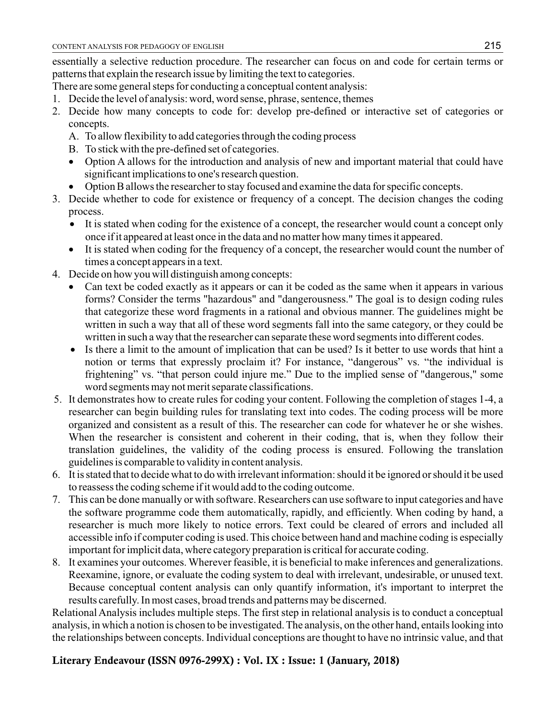essentially a selective reduction procedure. The researcher can focus on and code for certain terms or patterns that explain the research issue by limiting the text to categories.

- There are some general steps for conducting a conceptual content analysis:
- 1. Decide the level of analysis: word, word sense, phrase, sentence, themes
- 2. Decide how many concepts to code for: develop pre-defined or interactive set of categories or concepts.
	- A. To allow flexibility to add categories through the coding process
	- B. To stick with the pre-defined set of categories.
	- Option A allows for the introduction and analysis of new and important material that could have significant implications to one's research question.
	- Option B allows the researcher to stay focused and examine the data for specific concepts.
- 3. Decide whether to code for existence or frequency of a concept. The decision changes the coding process.
	- It is stated when coding for the existence of a concept, the researcher would count a concept only once if it appeared at least once in the data and no matter how many times it appeared.
	- It is stated when coding for the frequency of a concept, the researcher would count the number of times a concept appears in a text.
- 4. Decide on how you will distinguish among concepts:
	- Can text be coded exactly as it appears or can it be coded as the same when it appears in various forms? Consider the terms "hazardous" and "dangerousness." The goal is to design coding rules that categorize these word fragments in a rational and obvious manner. The guidelines might be written in such a way that all of these word segments fall into the same category, or they could be written in such a way that the researcher can separate these word segments into different codes.
	- Is there a limit to the amount of implication that can be used? Is it better to use words that hint a notion or terms that expressly proclaim it? For instance, "dangerous" vs. "the individual is frightening" vs. "that person could injure me." Due to the implied sense of "dangerous," some word segments may not merit separate classifications.
- 5. It demonstrates how to create rules for coding your content. Following the completion of stages 1-4, a researcher can begin building rules for translating text into codes. The coding process will be more organized and consistent as a result of this. The researcher can code for whatever he or she wishes. When the researcher is consistent and coherent in their coding, that is, when they follow their translation guidelines, the validity of the coding process is ensured. Following the translation guidelines is comparable to validity in content analysis.
- 6. It is stated that to decide what to do with irrelevant information: should it be ignored or should it be used to reassess the coding scheme if it would add to the coding outcome.
- 7. This can be done manually or with software. Researchers can use software to input categories and have the software programme code them automatically, rapidly, and efficiently. When coding by hand, a researcher is much more likely to notice errors. Text could be cleared of errors and included all accessible info if computer coding is used. This choice between hand and machine coding is especially important for implicit data, where category preparation is critical for accurate coding.
- 8. It examines your outcomes. Wherever feasible, it is beneficial to make inferences and generalizations. Reexamine, ignore, or evaluate the coding system to deal with irrelevant, undesirable, or unused text. Because conceptual content analysis can only quantify information, it's important to interpret the results carefully. In most cases, broad trends and patterns may be discerned.

Relational Analysis includes multiple steps. The first step in relational analysis is to conduct a conceptual analysis, in which a notion is chosen to be investigated. The analysis, on the other hand, entails looking into the relationships between concepts. Individual conceptions are thought to have no intrinsic value, and that

# **Literary Endeavour (ISSN 0976-299X) : Vol. IX : Issue: 1 (January, 2018)**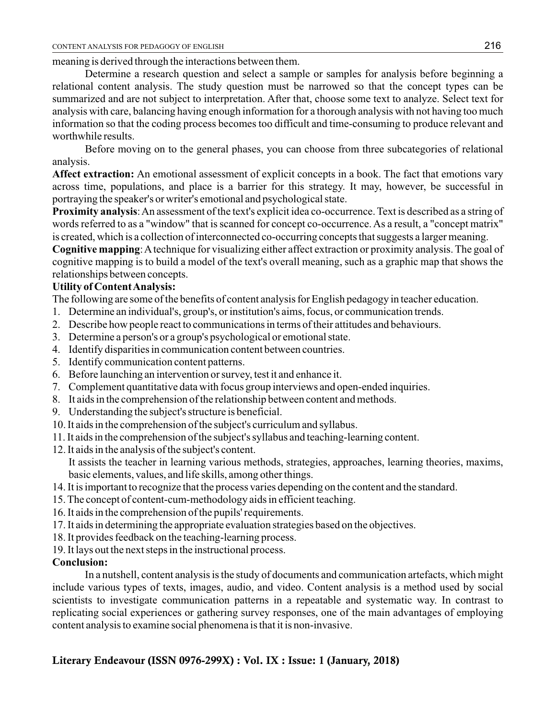meaning is derived through the interactions between them.

Determine a research question and select a sample or samples for analysis before beginning a relational content analysis. The study question must be narrowed so that the concept types can be summarized and are not subject to interpretation. After that, choose some text to analyze. Select text for analysis with care, balancing having enough information for a thorough analysis with not having too much information so that the coding process becomes too difficult and time-consuming to produce relevant and worthwhile results.

Before moving on to the general phases, you can choose from three subcategories of relational analysis.

**Affect extraction:** An emotional assessment of explicit concepts in a book. The fact that emotions vary across time, populations, and place is a barrier for this strategy. It may, however, be successful in portraying the speaker's or writer's emotional and psychological state.

**Proximity analysis**: An assessment of the text's explicit idea co-occurrence. Text is described as a string of words referred to as a "window" that is scanned for concept co-occurrence. As a result, a "concept matrix" is created, which is a collection of interconnected co-occurring concepts that suggests a larger meaning.

**Cognitive mapping**: Atechnique for visualizing either affect extraction or proximity analysis. The goal of cognitive mapping is to build a model of the text's overall meaning, such as a graphic map that shows the relationships between concepts.

## **Utility of Content Analysis:**

The following are some of the benefits of content analysis for English pedagogy in teacher education.

- 1. Determine an individual's, group's, or institution's aims, focus, or communication trends.
- 2. Describe how people react to communications in terms of their attitudes and behaviours.
- 3. Determine a person's or a group's psychological or emotional state.
- 4. Identify disparities in communication content between countries.
- 5. Identify communication content patterns.
- 6. Before launching an intervention or survey, test it and enhance it.
- 7. Complement quantitative data with focus group interviews and open-ended inquiries.
- 8. It aids in the comprehension of the relationship between content and methods.
- 9. Understanding the subject's structure is beneficial.
- 10. It aids in the comprehension of the subject's curriculum and syllabus.
- 11. It aids in the comprehension of the subject's syllabus and teaching-learning content.
- 12. It aids in the analysis of the subject's content.

It assists the teacher in learning various methods, strategies, approaches, learning theories, maxims, basic elements, values, and life skills, among other things.

- 14. It is important to recognize that the process varies depending on the content and the standard.
- 15. The concept of content-cum-methodology aids in efficient teaching.
- 16. It aids in the comprehension of the pupils' requirements.
- 17. It aids in determining the appropriate evaluation strategies based on the objectives.
- 18. It provides feedback on the teaching-learning process.
- 19. It lays out the next steps in the instructional process.

# **Conclusion:**

In a nutshell, content analysis is the study of documents and communication artefacts, which might include various types of texts, images, audio, and video. Content analysis is a method used by social scientists to investigate communication patterns in a repeatable and systematic way. In contrast to replicating social experiences or gathering survey responses, one of the main advantages of employing content analysis to examine social phenomena is that it is non-invasive.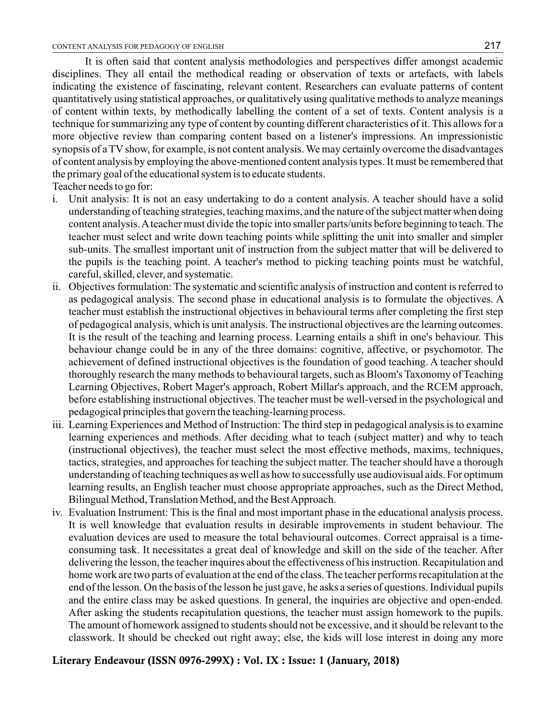It is often said that content analysis methodologies and perspectives differ amongst academic disciplines. They all entail the methodical reading or observation of texts or artefacts, with labels indicating the existence of fascinating, relevant content. Researchers can evaluate patterns of content quantitatively using statistical approaches, or qualitatively using qualitative methods to analyze meanings of content within texts, by methodically labelling the content of a set of texts. Content analysis is a technique for summarizing any type of content by counting different characteristics of it. This allows for a more objective review than comparing content based on a listener's impressions. An impressionistic synopsis of a TV show, for example, is not content analysis. We may certainly overcome the disadvantages of content analysis by employing the above-mentioned content analysis types. It must be remembered that the primary goal of the educational system is to educate students. Teacher needs to go for:

- i. Unit analysis: It is not an easy undertaking to do a content analysis. A teacher should have a solid understanding of teaching strategies, teaching maxims, and the nature of the subject matter when doing content analysis. Ateacher must divide the topic into smaller parts/units before beginning to teach. The teacher must select and write down teaching points while splitting the unit into smaller and simpler sub-units. The smallest important unit of instruction from the subject matter that will be delivered to the pupils is the teaching point. A teacher's method to picking teaching points must be watchful, careful, skilled, clever, and systematic.
- ii. Objectives formulation: The systematic and scientific analysis of instruction and content is referred to as pedagogical analysis. The second phase in educational analysis is to formulate the objectives. A teacher must establish the instructional objectives in behavioural terms after completing the first step of pedagogical analysis, which is unit analysis. The instructional objectives are the learning outcomes. It is the result of the teaching and learning process. Learning entails a shift in one's behaviour. This behaviour change could be in any of the three domains: cognitive, affective, or psychomotor. The achievement of defined instructional objectives is the foundation of good teaching. A teacher should thoroughly research the many methods to behavioural targets, such as Bloom's Taxonomy of Teaching Learning Objectives, Robert Mager's approach, Robert Millar's approach, and the RCEM approach, before establishing instructional objectives. The teacher must be well-versed in the psychological and pedagogical principles that govern the teaching-learning process.
- iii. Learning Experiences and Method of Instruction: The third step in pedagogical analysis is to examine learning experiences and methods. After deciding what to teach (subject matter) and why to teach (instructional objectives), the teacher must select the most effective methods, maxims, techniques, tactics, strategies, and approaches for teaching the subject matter. The teacher should have a thorough understanding of teaching techniques as well as how to successfully use audiovisual aids. For optimum learning results, an English teacher must choose appropriate approaches, such as the Direct Method, Bilingual Method, Translation Method, and the Best Approach.
- iv. Evaluation Instrument: This is the final and most important phase in the educational analysis process. It is well knowledge that evaluation results in desirable improvements in student behaviour. The evaluation devices are used to measure the total behavioural outcomes. Correct appraisal is a timeconsuming task. It necessitates a great deal of knowledge and skill on the side of the teacher. After delivering the lesson, the teacher inquires about the effectiveness of his instruction. Recapitulation and home work are two parts of evaluation at the end of the class. The teacher performs recapitulation at the end of the lesson. On the basis of the lesson he just gave, he asks a series of questions. Individual pupils and the entire class may be asked questions. In general, the inquiries are objective and open-ended. After asking the students recapitulation questions, the teacher must assign homework to the pupils. The amount of homework assigned to students should not be excessive, and it should be relevant to the classwork. It should be checked out right away; else, the kids will lose interest in doing any more

## **Literary Endeavour (ISSN 0976-299X) : Vol. IX : Issue: 1 (January, 2018)**